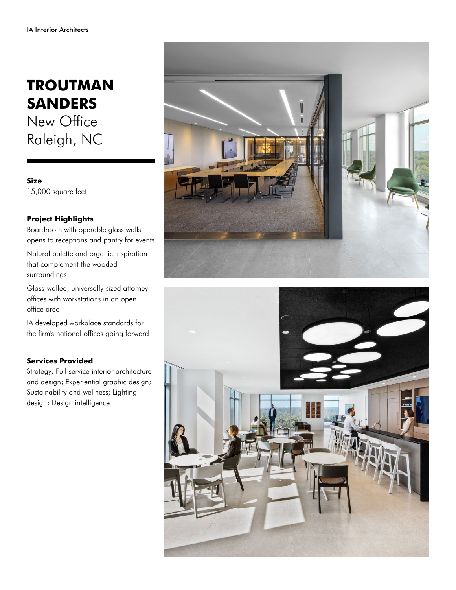## **TROUTMAN SANDERS** New Office Raleigh, NC

**Size** 15,000 square feet

## **Project Highlights**

Boardroom with operable glass walls opens to receptions and pantry for events

Natural palette and organic inspiration that complement the wooded surroundings

Glass-walled, universally-sized attorney offices with workstations in an open office area

IA developed workplace standards for the firm's national offices going forward

## **Services Provided**

Strategy; Full service interior architecture and design; Experiential graphic design; Sustainability and wellness; Lighting design; Design intelligence